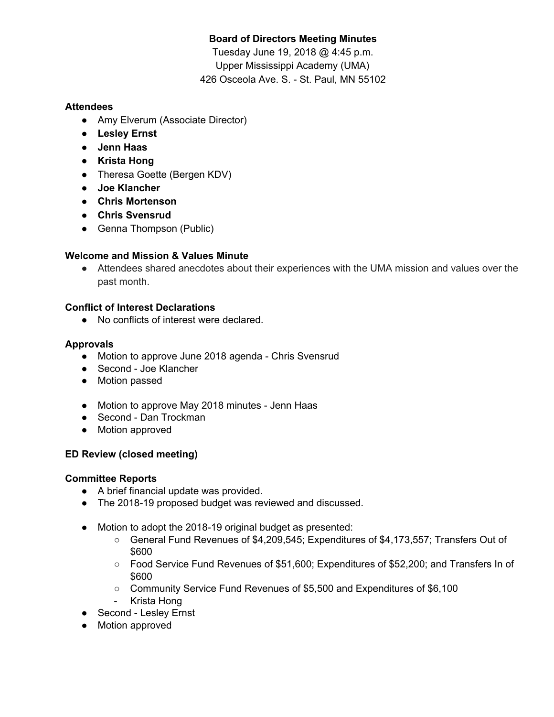# **Board of Directors Meeting Minutes**

Tuesday June 19, 2018 @ 4:45 p.m. Upper Mississippi Academy (UMA) 426 Osceola Ave. S. - St. Paul, MN 55102

## **Attendees**

- Amy Elverum (Associate Director)
- **● Lesley Ernst**
- **● Jenn Haas**
- **● Krista Hong**
- Theresa Goette (Bergen KDV)
- **● Joe Klancher**
- **● Chris Mortenson**
- **● Chris Svensrud**
- Genna Thompson (Public)

### **Welcome and Mission & Values Minute**

● Attendees shared anecdotes about their experiences with the UMA mission and values over the past month.

### **Conflict of Interest Declarations**

● No conflicts of interest were declared.

#### **Approvals**

- Motion to approve June 2018 agenda Chris Svensrud
- Second Joe Klancher
- Motion passed
- Motion to approve May 2018 minutes Jenn Haas
- Second Dan Trockman
- Motion approved

# **ED Review (closed meeting)**

#### **Committee Reports**

- A brief financial update was provided.
- The 2018-19 proposed budget was reviewed and discussed.
- Motion to adopt the 2018-19 original budget as presented:
	- General Fund Revenues of \$4,209,545; Expenditures of \$4,173,557; Transfers Out of \$600
	- Food Service Fund Revenues of \$51,600; Expenditures of \$52,200; and Transfers In of \$600
	- Community Service Fund Revenues of \$5,500 and Expenditures of \$6,100
	- Krista Hong
- Second Lesley Ernst
- Motion approved